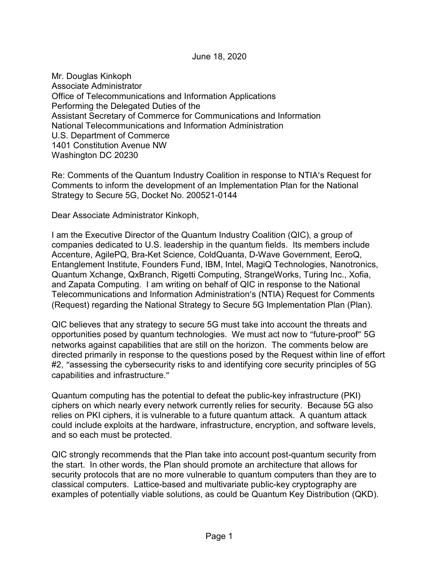June 18, 2020

Mr. Douglas Kinkoph Associate Administrator Office of Telecommunications and Information Applications Performing the Delegated Duties of the Assistant Secretary of Commerce for Communications and Information National Telecommunications and Information Administration U.S. Department of Commerce 1401 Constitution Avenue NW Washington DC 20230

Re: Comments of the Quantum Industry Coalition in response to NTIA's Request for Comments to inform the development of an Implementation Plan for the National Strategy to Secure 5G, Docket No. 200521-0144

Dear Associate Administrator Kinkoph,

I am the Executive Director of the Quantum Industry Coalition (QIC), a group of companies dedicated to U.S. leadership in the quantum fields. Its members include Accenture, AgilePQ, Bra-Ket Science, ColdQuanta, D-Wave Government, EeroQ, Entanglement Institute, Founders Fund, IBM, Intel, MagiQ Technologies, Nanotronics, Quantum Xchange, QxBranch, Rigetti Computing, StrangeWorks, Turing Inc., Xofia, and Zapata Computing. I am writing on behalf of QIC in response to the National Telecommunications and Information Administration's (NTIA) Request for Comments (Request) regarding the National Strategy to Secure 5G Implementation Plan (Plan).

QIC believes that any strategy to secure 5G must take into account the threats and opportunities posed by quantum technologies. We must act now to "future-proof" 5G networks against capabilities that are still on the horizon. The comments below are directed primarily in response to the questions posed by the Request within line of effort #2, "assessing the cybersecurity risks to and identifying core security principles of 5G capabilities and infrastructure."

Quantum computing has the potential to defeat the public-key infrastructure (PKI) ciphers on which nearly every network currently relies for security. Because 5G also relies on PKI ciphers, it is vulnerable to a future quantum attack. A quantum attack could include exploits at the hardware, infrastructure, encryption, and software levels, and so each must be protected.

QIC strongly recommends that the Plan take into account post-quantum security from the start. In other words, the Plan should promote an architecture that allows for security protocols that are no more vulnerable to quantum computers than they are to classical computers. Lattice-based and multivariate public-key cryptography are examples of potentially viable solutions, as could be Quantum Key Distribution (QKD).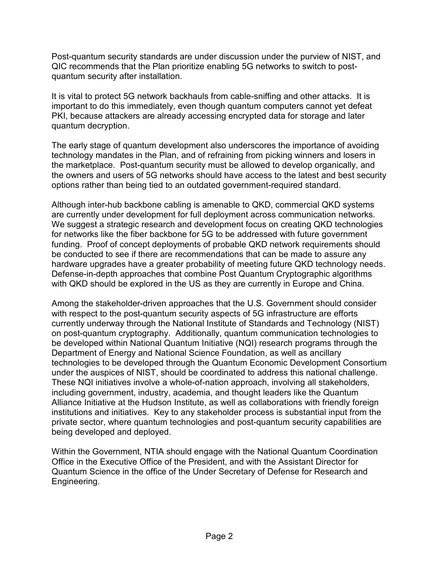Post-quantum security standards are under discussion under the purview of NIST, and QIC recommends that the Plan prioritize enabling 5G networks to switch to postquantum security after installation.

It is vital to protect 5G network backhauls from cable-sniffing and other attacks. It is important to do this immediately, even though quantum computers cannot yet defeat PKI, because attackers are already accessing encrypted data for storage and later quantum decryption.

The early stage of quantum development also underscores the importance of avoiding technology mandates in the Plan, and of refraining from picking winners and losers in the marketplace. Post-quantum security must be allowed to develop organically, and the owners and users of 5G networks should have access to the latest and best security options rather than being tied to an outdated government-required standard.

Although inter-hub backbone cabling is amenable to QKD, commercial QKD systems are currently under development for full deployment across communication networks. We suggest a strategic research and development focus on creating QKD technologies for networks like the fiber backbone for 5G to be addressed with future government funding. Proof of concept deployments of probable QKD network requirements should be conducted to see if there are recommendations that can be made to assure any hardware upgrades have a greater probability of meeting future QKD technology needs. Defense-in-depth approaches that combine Post Quantum Cryptographic algorithms with QKD should be explored in the US as they are currently in Europe and China.

Among the stakeholder-driven approaches that the U.S. Government should consider with respect to the post-quantum security aspects of 5G infrastructure are efforts currently underway through the National Institute of Standards and Technology (NIST) on post-quantum cryptography. Additionally, quantum communication technologies to be developed within National Quantum Initiative (NQI) research programs through the Department of Energy and National Science Foundation, as well as ancillary technologies to be developed through the Quantum Economic Development Consortium under the auspices of NIST, should be coordinated to address this national challenge. These NQI initiatives involve a whole-of-nation approach, involving all stakeholders, including government, industry, academia, and thought leaders like the Quantum Alliance Initiative at the Hudson Institute, as well as collaborations with friendly foreign institutions and initiatives. Key to any stakeholder process is substantial input from the private sector, where quantum technologies and post-quantum security capabilities are being developed and deployed.

Within the Government, NTIA should engage with the National Quantum Coordination Office in the Executive Office of the President, and with the Assistant Director for Quantum Science in the office of the Under Secretary of Defense for Research and Engineering.